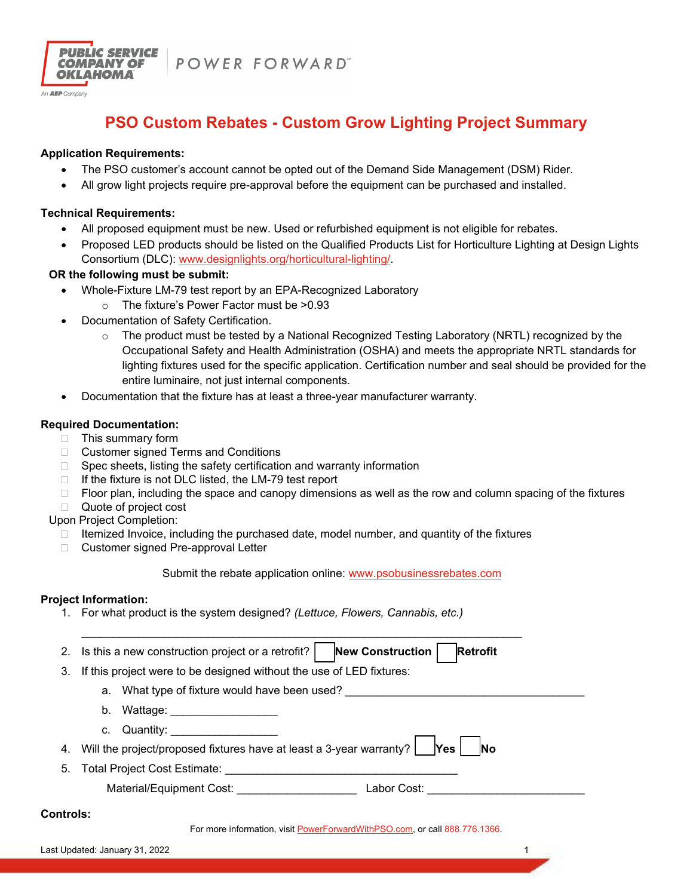

An **AEP** Company

POWER FORWARD"

# **PSO Custom Rebates - Custom Grow Lighting Project Summary**

### **Application Requirements:**

- The PSO customer's account cannot be opted out of the Demand Side Management (DSM) Rider.
- All grow light projects require pre-approval before the equipment can be purchased and installed.

#### **Technical Requirements:**

- All proposed equipment must be new. Used or refurbished equipment is not eligible for rebates.
- Proposed LED products should be listed on the Qualified Products List for Horticulture Lighting at Design Lights Consortium (DLC): www.designlights.org/horticultural-lighting/.

## **OR the following must be submit:**

- Whole-Fixture LM-79 test report by an EPA-Recognized Laboratory
	- o The fixture's Power Factor must be >0.93
- Documentation of Safety Certification.
	- $\circ$  The product must be tested by a National Recognized Testing Laboratory (NRTL) recognized by the Occupational Safety and Health Administration (OSHA) and meets the appropriate NRTL standards for lighting fixtures used for the specific application. Certification number and seal should be provided for the entire luminaire, not just internal components.
- Documentation that the fixture has at least a three-year manufacturer warranty.

## **Required Documentation:**

- □ This summary form
- □ Customer signed Terms and Conditions
- $\Box$  Spec sheets, listing the safety certification and warranty information
- $\Box$  If the fixture is not DLC listed, the LM-79 test report
- $\Box$  Floor plan, including the space and canopy dimensions as well as the row and column spacing of the fixtures
- Quote of project cost

Upon Project Completion:

- $\Box$  Itemized Invoice, including the purchased date, model number, and quantity of the fixtures
- □ Customer signed Pre-approval Letter

Submit the rebate application online: www.psobusinessrebates.com

#### **Project Information:**

1. For what product is the system designed? *(Lettuce, Flowers, Cannabis, etc.)*

|                  | <b>New Construction</b><br><b>Retrofit</b><br>2. Is this a new construction project or a retrofit? |  |  |  |  |
|------------------|----------------------------------------------------------------------------------------------------|--|--|--|--|
| 3.               | If this project were to be designed without the use of LED fixtures:                               |  |  |  |  |
|                  | a. What type of fixture would have been used?                                                      |  |  |  |  |
|                  | b. Wattage:                                                                                        |  |  |  |  |
|                  | c. Quantity:                                                                                       |  |  |  |  |
| 4.               | Will the project/proposed fixtures have at least a 3-year warranty? $ $ Yes  <br><b>INo</b>        |  |  |  |  |
| 5.               | Total Project Cost Estimate:                                                                       |  |  |  |  |
|                  | Material/Equipment Cost:<br>Labor Cost:                                                            |  |  |  |  |
| <b>Controls:</b> |                                                                                                    |  |  |  |  |

For more information, visit PowerForwardWithPSO.com, or call 888.776.1366.